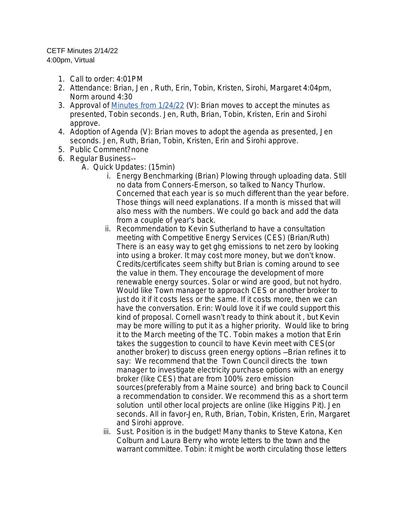## CETF Minutes 2/14/22

4:00pm, Virtual

- 1. Call to order: 4:01PM
- 2. Attendance: Brian, Jen , Ruth, Erin, Tobin, Kristen, Sirohi, Margaret 4:04pm, Norm around 4:30
- 3. Approval of [Minutes from 1/24/22](https://docs.google.com/document/d/1jLna5E42hWTTL-JkgCRxl_8dET_2vDuqqbPGu-A4RCk/edit) (V): Brian moves to accept the minutes as presented, Tobin seconds. Jen, Ruth, Brian, Tobin, Kristen, Erin and Sirohi approve.
- 4. Adoption of Agenda (V): Brian moves to adopt the agenda as presented, Jen seconds. Jen, Ruth, Brian, Tobin, Kristen, Erin and Sirohi approve.
- 5. Public Comment?none
- 6. Regular Business--
	- A. Quick Updates: (15min)
		- i. Energy Benchmarking (Brian) Plowing through uploading data. Still no data from Conners-Emerson, so talked to Nancy Thurlow. Concerned that each year is so much different than the year before. Those things will need explanations. If a month is missed that will also mess with the numbers. We could go back and add the data from a couple of year's back.
		- ii. Recommendation to Kevin Sutherland to have a consultation meeting with Competitive Energy Services (CES) (Brian/Ruth) There is an easy way to get ghg emissions to net zero by looking into using a broker. It may cost more money, but we don't know. Credits/certificates seem shifty but Brian is coming around to see the value in them. They encourage the development of more renewable energy sources. Solar or wind are good, but not hydro. Would like Town manager to approach CES or another broker to just do it if it costs less or the same. If it costs more, then we can have the conversation. Erin: Would love it if we could support this kind of proposal. Cornell wasn't ready to think about it , but Kevin may be more willing to put it as a higher priority. Would like to bring it to the March meeting of the TC. Tobin makes a motion that Erin takes the suggestion to council to have Kevin meet with CES(or another broker) to discuss green energy options —Brian refines it to say: We recommend that the Town Council directs the town manager to investigate electricity purchase options with an energy broker (like CES) that are from 100% zero emission sources(preferably from a Maine source) and bring back to Council a recommendation to consider. We recommend this as a short term solution until other local projects are online (like Higgins Pit). Jen seconds. All in favor–Jen, Ruth, Brian, Tobin, Kristen, Erin, Margaret and Sirohi approve.
		- iii. Sust. Position is in the budget! Many thanks to Steve Katona, Ken Colburn and Laura Berry who wrote letters to the town and the warrant committee. Tobin: it might be worth circulating those letters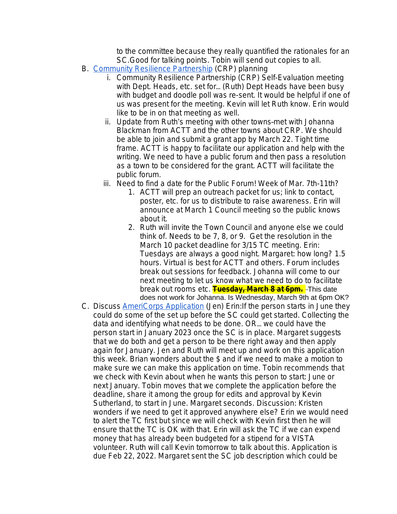to the committee because they really quantified the rationales for an SC.Good for talking points. Tobin will send out copies to all.

- B. [Community Resilience Partnership \(CRP\) planning](https://www.maine.gov/future/climate/community-resilience-partnership)
	- i. [Community Resilience Partnership \(CRP\) Self-Evaluation meeting](https://www.maine.gov/future/climate/community-resilience-partnership)  [with Dept. Heads, etc. set for](https://www.maine.gov/future/climate/community-resilience-partnership)… (Ruth) [Dept Heads have been busy](https://www.maine.gov/future/climate/community-resilience-partnership)  [with budget and doodle poll was re-sent. It would be helpful if one of](https://www.maine.gov/future/climate/community-resilience-partnership) [us was present for the meeting. Kevin will let Ruth know. Erin would](https://www.maine.gov/future/climate/community-resilience-partnership) [like to be in on that meeting as well.](https://www.maine.gov/future/climate/community-resilience-partnership)
	- ii. Update from Ruth'[s meeting with other towns](https://www.maine.gov/future/climate/community-resilience-partnership)–met with Johanna [Blackman from ACTT and the other towns about CRP. We should](https://www.maine.gov/future/climate/community-resilience-partnership)  [be able to join and submit a grant app by March 22. Tight time](https://www.maine.gov/future/climate/community-resilience-partnership) [frame. ACTT is happy to facilitate our application and help with the](https://www.maine.gov/future/climate/community-resilience-partnership)  [writing. We need to have a public forum and then pass a resolution](https://www.maine.gov/future/climate/community-resilience-partnership)  [as a town to be considered for the grant. ACTT will facilitate the](https://www.maine.gov/future/climate/community-resilience-partnership)  [public forum.](https://www.maine.gov/future/climate/community-resilience-partnership)
	- iii. [Need to find a date for the Public Forum! Week of Mar. 7th-11th?](https://www.maine.gov/future/climate/community-resilience-partnership)
		- 1. [ACTT will prep an outreach packet for us; link to contact,](https://www.maine.gov/future/climate/community-resilience-partnership)  [poster, etc. for us to distribute to raise awareness. Erin will](https://www.maine.gov/future/climate/community-resilience-partnership)  [announce at March 1 Council meeting so the public knows](https://www.maine.gov/future/climate/community-resilience-partnership)  [about it.](https://www.maine.gov/future/climate/community-resilience-partnership)
		- 2. [Ruth will invite the Town Council and anyone else we could](https://www.maine.gov/future/climate/community-resilience-partnership)  [think of. Needs to be 7, 8, or 9. Get the resolution in the](https://www.maine.gov/future/climate/community-resilience-partnership)  [March 10 packet deadline for 3/15 TC meeting. Erin:](https://www.maine.gov/future/climate/community-resilience-partnership)  [Tuesdays are always a good night. Margaret: how long? 1.5](https://www.maine.gov/future/climate/community-resilience-partnership)  [hours. Virtual is best for ACTT and others. Forum includes](https://www.maine.gov/future/climate/community-resilience-partnership)  [break out sessions for feedback. Johanna will come to our](https://www.maine.gov/future/climate/community-resilience-partnership)  [next meeting to let us know what we need to do to facilitate](https://www.maine.gov/future/climate/community-resilience-partnership)  [break out rooms etc.](https://www.maine.gov/future/climate/community-resilience-partnership) **[Tuesday, March 8 at 6pm.](https://www.maine.gov/future/climate/community-resilience-partnership)** - This date [does not work for Johanna. Is Wednesday, March 9th at 6pm OK?](https://www.maine.gov/future/climate/community-resilience-partnership)
- C. [Discuss](https://www.maine.gov/future/climate/community-resilience-partnership) [AmeriCorps Application](https://drive.google.com/file/d/1CsQlgx2Ck4QeDaHjBf_l6sGvhGNbvpNe/view?usp=sharing) (Jen) Erin:If the person starts in June they could do some of the set up before the SC could get started. Collecting the data and identifying what needs to be done. OR… we could have the person start in January 2023 once the SC is in place. Margaret suggests that we do both and get a person to be there right away and then apply again for January. Jen and Ruth will meet up and work on this application this week. Brian wonders about the \$ and if we need to make a motion to make sure we can make this application on time. Tobin recommends that we check with Kevin about when he wants this person to start: June or next January. Tobin moves that we complete the application before the deadline, share it among the group for edits and approval by Kevin Sutherland, to start in June. Margaret seconds. Discussion: Kristen wonders if we need to get it approved anywhere else? Erin we would need to alert the TC first but since we will check with Kevin first then he will ensure that the TC is OK with that. Erin will ask the TC if we can expend money that has already been budgeted for a stipend for a VISTA volunteer. Ruth will call Kevin tomorrow to talk about this. Application is due Feb 22, 2022. Margaret sent the SC job description which could be